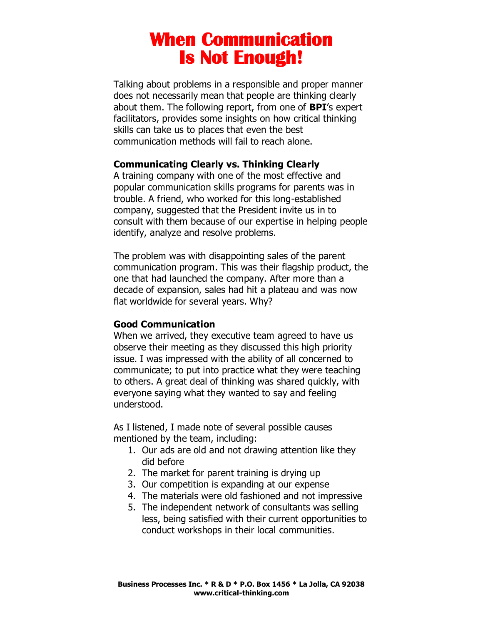Talking about problems in a responsible and proper manner does not necessarily mean that people are thinking clearly about them. The following report, from one of **BPI**'s expert facilitators, provides some insights on how critical thinking skills can take us to places that even the best communication methods will fail to reach alone.

#### **Communicating Clearly vs. Thinking Clearly**

A training company with one of the most effective and popular communication skills programs for parents was in trouble. A friend, who worked for this long-established company, suggested that the President invite us in to consult with them because of our expertise in helping people identify, analyze and resolve problems.

The problem was with disappointing sales of the parent communication program. This was their flagship product, the one that had launched the company. After more than a decade of expansion, sales had hit a plateau and was now flat worldwide for several years. Why?

#### **Good Communication**

When we arrived, they executive team agreed to have us observe their meeting as they discussed this high priority issue. I was impressed with the ability of all concerned to communicate; to put into practice what they were teaching to others. A great deal of thinking was shared quickly, with everyone saying what they wanted to say and feeling understood.

As I listened, I made note of several possible causes mentioned by the team, including:

- 1. Our ads are old and not drawing attention like they did before
- 2. The market for parent training is drying up
- 3. Our competition is expanding at our expense
- 4. The materials were old fashioned and not impressive
- 5. The independent network of consultants was selling less, being satisfied with their current opportunities to conduct workshops in their local communities.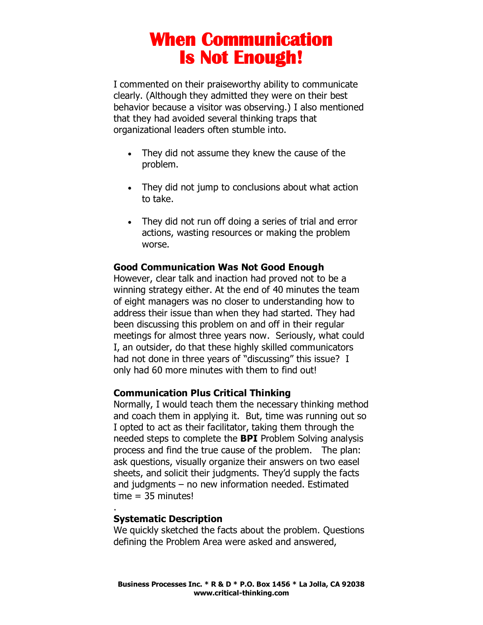I commented on their praiseworthy ability to communicate clearly. (Although they admitted they were on their best behavior because a visitor was observing.) I also mentioned that they had avoided several thinking traps that organizational leaders often stumble into.

- They did not assume they knew the cause of the problem.
- They did not jump to conclusions about what action to take.
- They did not run off doing a series of trial and error actions, wasting resources or making the problem worse.

### **Good Communication Was Not Good Enough**

However, clear talk and inaction had proved not to be a winning strategy either. At the end of 40 minutes the team of eight managers was no closer to understanding how to address their issue than when they had started. They had been discussing this problem on and off in their regular meetings for almost three years now. Seriously, what could I, an outsider, do that these highly skilled communicators had not done in three years of "discussing" this issue? I only had 60 more minutes with them to find out!

### **Communication Plus Critical Thinking**

Normally, I would teach them the necessary thinking method and coach them in applying it. But, time was running out so I opted to act as their facilitator, taking them through the needed steps to complete the **BPI** Problem Solving analysis process and find the true cause of the problem. The plan: ask questions, visually organize their answers on two easel sheets, and solicit their judgments. They'd supply the facts and judgments – no new information needed. Estimated  $time = 35$  minutes!

### **Systematic Description**

.

We quickly sketched the facts about the problem. Questions defining the Problem Area were asked and answered,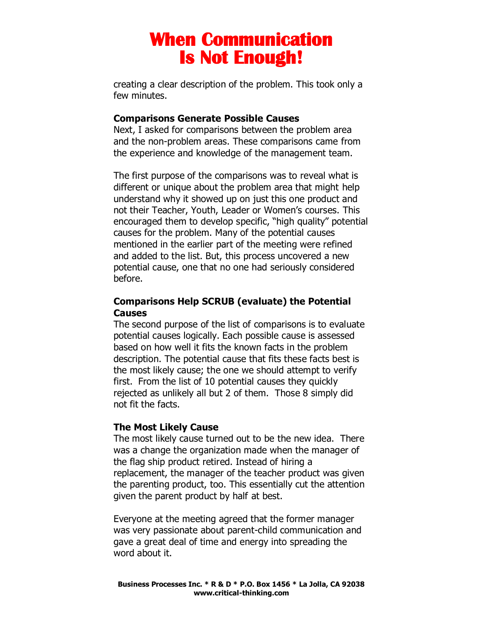creating a clear description of the problem. This took only a few minutes.

#### **Comparisons Generate Possible Causes**

Next, I asked for comparisons between the problem area and the non-problem areas. These comparisons came from the experience and knowledge of the management team.

The first purpose of the comparisons was to reveal what is different or unique about the problem area that might help understand why it showed up on just this one product and not their Teacher, Youth, Leader or Women's courses. This encouraged them to develop specific, "high quality" potential causes for the problem. Many of the potential causes mentioned in the earlier part of the meeting were refined and added to the list. But, this process uncovered a new potential cause, one that no one had seriously considered before.

### **Comparisons Help SCRUB (evaluate) the Potential Causes**

The second purpose of the list of comparisons is to evaluate potential causes logically. Each possible cause is assessed based on how well it fits the known facts in the problem description. The potential cause that fits these facts best is the most likely cause; the one we should attempt to verify first. From the list of 10 potential causes they quickly rejected as unlikely all but 2 of them. Those 8 simply did not fit the facts.

### **The Most Likely Cause**

The most likely cause turned out to be the new idea. There was a change the organization made when the manager of the flag ship product retired. Instead of hiring a replacement, the manager of the teacher product was given the parenting product, too. This essentially cut the attention given the parent product by half at best.

Everyone at the meeting agreed that the former manager was very passionate about parent-child communication and gave a great deal of time and energy into spreading the word about it.